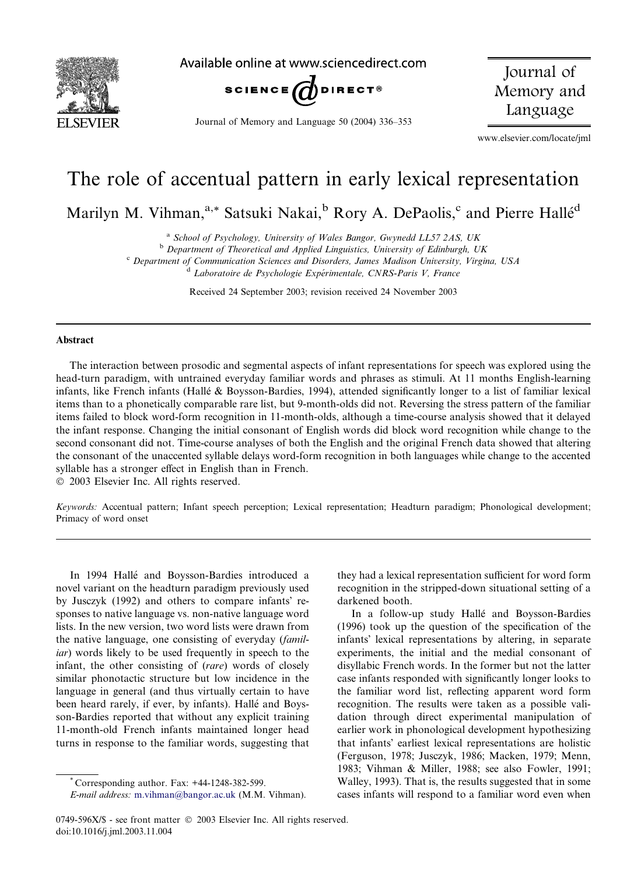

Available online at www.sciencedirect.com



Journal of Memory and Language 50 (2004) 336–353

Journal of Memory and Language

www.elsevier.com/locate/jml

# The role of accentual pattern in early lexical representation

Marilyn M. Vihman,<sup>a,\*</sup> Satsuki Nakai,<sup>b</sup> Rory A. DePaolis,<sup>c</sup> and Pierre Hallé<sup>d</sup>

<sup>a</sup> School of Psychology, University of Wales Bangor, Gwynedd LL57 2AS, UK

b Department of Theoretical and Applied Linguistics, University of Edinburgh, UK

<sup>c</sup> Department of Communication Sciences and Disorders, James Madison University, Virgina, USA

<sup>d</sup> Laboratoire de Psychologie Expérimentale, CNRS-Paris V, France

Received 24 September 2003; revision received 24 November 2003

#### Abstract

The interaction between prosodic and segmental aspects of infant representations for speech was explored using the head-turn paradigm, with untrained everyday familiar words and phrases as stimuli. At 11 months English-learning infants, like French infants (Halle & Boysson-Bardies, 1994), attended significantly longer to a list of familiar lexical items than to a phonetically comparable rare list, but 9-month-olds did not. Reversing the stress pattern of the familiar items failed to block word-form recognition in 11-month-olds, although a time-course analysis showed that it delayed the infant response. Changing the initial consonant of English words did block word recognition while change to the second consonant did not. Time-course analyses of both the English and the original French data showed that altering the consonant of the unaccented syllable delays word-form recognition in both languages while change to the accented syllable has a stronger effect in English than in French.

2003 Elsevier Inc. All rights reserved.

Keywords: Accentual pattern; Infant speech perception; Lexical representation; Headturn paradigm; Phonological development; Primacy of word onset

In 1994 Halle and Boysson-Bardies introduced a novel variant on the headturn paradigm previously used by Jusczyk (1992) and others to compare infants' responses to native language vs. non-native language word lists. In the new version, two word lists were drawn from the native language, one consisting of everyday (familiar) words likely to be used frequently in speech to the infant, the other consisting of (rare) words of closely similar phonotactic structure but low incidence in the language in general (and thus virtually certain to have been heard rarely, if ever, by infants). Hallé and Boysson-Bardies reported that without any explicit training 11-month-old French infants maintained longer head turns in response to the familiar words, suggesting that

\* Corresponding author. Fax: +44-1248-382-599. E-mail address: [m.vihman@bangor.ac.uk](mail to: m.vihman@bangor.ac.uk) (M.M. Vihman). they had a lexical representation sufficient for word form recognition in the stripped-down situational setting of a darkened booth.

In a follow-up study Hallé and Boysson-Bardies (1996) took up the question of the specification of the infants' lexical representations by altering, in separate experiments, the initial and the medial consonant of disyllabic French words. In the former but not the latter case infants responded with significantly longer looks to the familiar word list, reflecting apparent word form recognition. The results were taken as a possible validation through direct experimental manipulation of earlier work in phonological development hypothesizing that infants' earliest lexical representations are holistic (Ferguson, 1978; Jusczyk, 1986; Macken, 1979; Menn, 1983; Vihman & Miller, 1988; see also Fowler, 1991; Walley, 1993). That is, the results suggested that in some cases infants will respond to a familiar word even when

<sup>0749-596</sup>X/\$ - see front matter  $\degree$  2003 Elsevier Inc. All rights reserved. doi:10.1016/j.jml.2003.11.004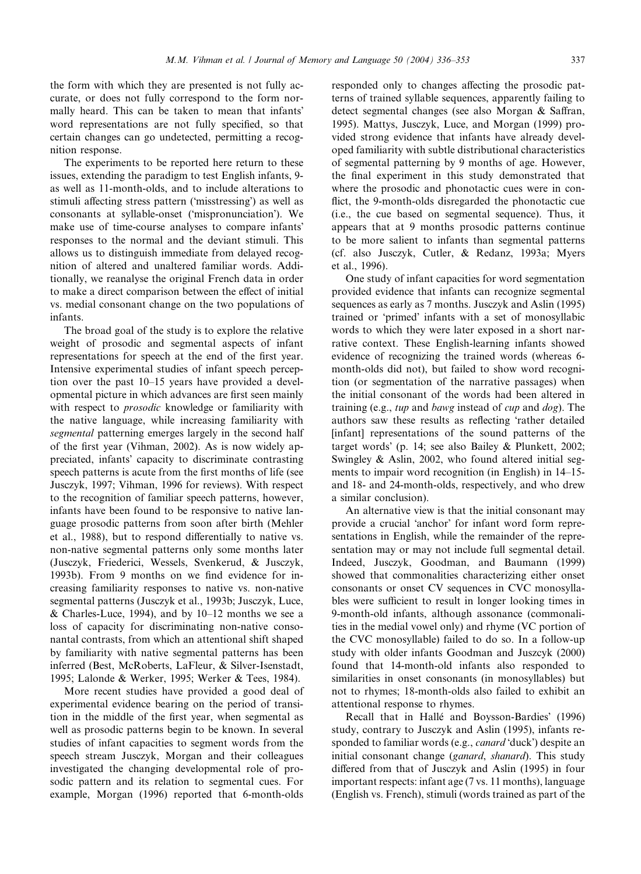the form with which they are presented is not fully accurate, or does not fully correspond to the form normally heard. This can be taken to mean that infants word representations are not fully specified, so that certain changes can go undetected, permitting a recognition response.

The experiments to be reported here return to these issues, extending the paradigm to test English infants, 9 as well as 11-month-olds, and to include alterations to stimuli affecting stress pattern ('misstressing') as well as consonants at syllable-onset ('mispronunciation'). We make use of time-course analyses to compare infants responses to the normal and the deviant stimuli. This allows us to distinguish immediate from delayed recognition of altered and unaltered familiar words. Additionally, we reanalyse the original French data in order to make a direct comparison between the effect of initial vs. medial consonant change on the two populations of infants.

The broad goal of the study is to explore the relative weight of prosodic and segmental aspects of infant representations for speech at the end of the first year. Intensive experimental studies of infant speech perception over the past 10–15 years have provided a developmental picture in which advances are first seen mainly with respect to prosodic knowledge or familiarity with the native language, while increasing familiarity with segmental patterning emerges largely in the second half of the first year (Vihman, 2002). As is now widely appreciated, infants' capacity to discriminate contrasting speech patterns is acute from the first months of life (see Jusczyk, 1997; Vihman, 1996 for reviews). With respect to the recognition of familiar speech patterns, however, infants have been found to be responsive to native language prosodic patterns from soon after birth (Mehler et al., 1988), but to respond differentially to native vs. non-native segmental patterns only some months later (Jusczyk, Friederici, Wessels, Svenkerud, & Jusczyk, 1993b). From 9 months on we find evidence for increasing familiarity responses to native vs. non-native segmental patterns (Jusczyk et al., 1993b; Jusczyk, Luce, & Charles-Luce, 1994), and by  $10-12$  months we see a loss of capacity for discriminating non-native consonantal contrasts, from which an attentional shift shaped by familiarity with native segmental patterns has been inferred (Best, McRoberts, LaFleur, & Silver-Isenstadt, 1995; Lalonde & Werker, 1995; Werker & Tees, 1984).

More recent studies have provided a good deal of experimental evidence bearing on the period of transition in the middle of the first year, when segmental as well as prosodic patterns begin to be known. In several studies of infant capacities to segment words from the speech stream Jusczyk, Morgan and their colleagues investigated the changing developmental role of prosodic pattern and its relation to segmental cues. For example, Morgan (1996) reported that 6-month-olds

responded only to changes affecting the prosodic patterns of trained syllable sequences, apparently failing to detect segmental changes (see also Morgan & Saffran, 1995). Mattys, Jusczyk, Luce, and Morgan (1999) provided strong evidence that infants have already developed familiarity with subtle distributional characteristics of segmental patterning by 9 months of age. However, the final experiment in this study demonstrated that where the prosodic and phonotactic cues were in conflict, the 9-month-olds disregarded the phonotactic cue (i.e., the cue based on segmental sequence). Thus, it appears that at 9 months prosodic patterns continue to be more salient to infants than segmental patterns (cf. also Jusczyk, Cutler, & Redanz, 1993a; Myers et al., 1996).

One study of infant capacities for word segmentation provided evidence that infants can recognize segmental sequences as early as 7 months. Jusczyk and Aslin (1995) trained or 'primed' infants with a set of monosyllabic words to which they were later exposed in a short narrative context. These English-learning infants showed evidence of recognizing the trained words (whereas 6 month-olds did not), but failed to show word recognition (or segmentation of the narrative passages) when the initial consonant of the words had been altered in training (e.g., tup and bawg instead of cup and  $\log$ ). The authors saw these results as reflecting 'rather detailed [infant] representations of the sound patterns of the target words' (p. 14; see also Bailey & Plunkett, 2002; Swingley & Aslin, 2002, who found altered initial segments to impair word recognition (in English) in 14–15 and 18- and 24-month-olds, respectively, and who drew a similar conclusion).

An alternative view is that the initial consonant may provide a crucial 'anchor' for infant word form representations in English, while the remainder of the representation may or may not include full segmental detail. Indeed, Jusczyk, Goodman, and Baumann (1999) showed that commonalities characterizing either onset consonants or onset CV sequences in CVC monosyllables were sufficient to result in longer looking times in 9-month-old infants, although assonance (commonalities in the medial vowel only) and rhyme (VC portion of the CVC monosyllable) failed to do so. In a follow-up study with older infants Goodman and Juszcyk (2000) found that 14-month-old infants also responded to similarities in onset consonants (in monosyllables) but not to rhymes; 18-month-olds also failed to exhibit an attentional response to rhymes.

Recall that in Hallé and Boysson-Bardies' (1996) study, contrary to Jusczyk and Aslin (1995), infants responded to familiar words (e.g., *canard* 'duck') despite an initial consonant change (ganard, shanard). This study differed from that of Jusczyk and Aslin (1995) in four important respects: infant age (7 vs. 11 months), language (English vs. French), stimuli (words trained as part of the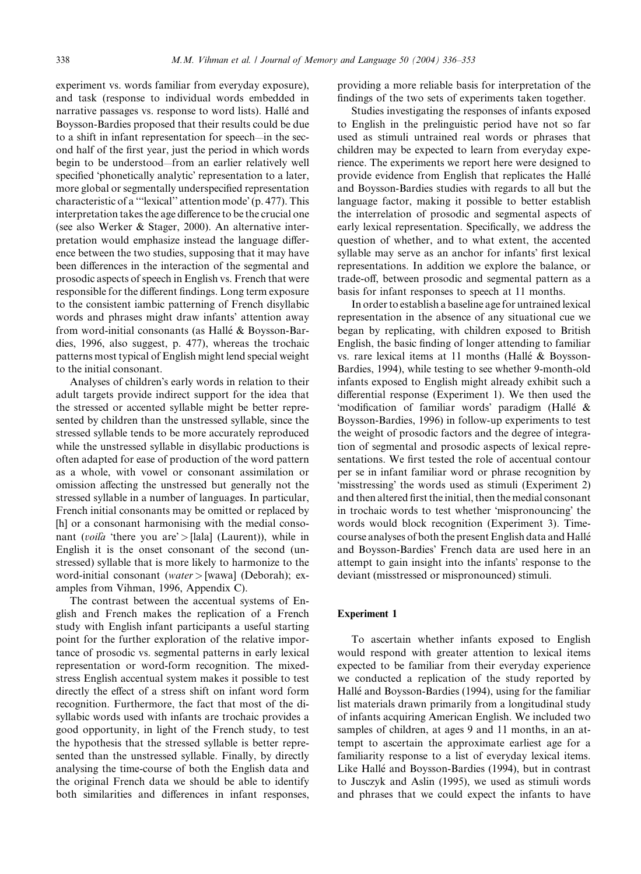experiment vs. words familiar from everyday exposure), and task (response to individual words embedded in narrative passages vs. response to word lists). Hallé and Boysson-Bardies proposed that their results could be due to a shift in infant representation for speech—in the second half of the first year, just the period in which words begin to be understood—from an earlier relatively well specified 'phonetically analytic' representation to a later, more global or segmentally underspecified representation characteristic of a "'lexical'' attention mode' (p. 477). This interpretation takes the age difference to be the crucial one (see also Werker & Stager, 2000). An alternative interpretation would emphasize instead the language difference between the two studies, supposing that it may have been differences in the interaction of the segmental and prosodic aspects of speech in English vs. French that were responsible for the different findings. Long term exposure to the consistent iambic patterning of French disyllabic words and phrases might draw infants' attention away from word-initial consonants (as Hallé & Boysson-Bardies, 1996, also suggest, p. 477), whereas the trochaic patterns most typical of English might lend special weight to the initial consonant.

Analyses of children's early words in relation to their adult targets provide indirect support for the idea that the stressed or accented syllable might be better represented by children than the unstressed syllable, since the stressed syllable tends to be more accurately reproduced while the unstressed syllable in disyllabic productions is often adapted for ease of production of the word pattern as a whole, with vowel or consonant assimilation or omission affecting the unstressed but generally not the stressed syllable in a number of languages. In particular, French initial consonants may be omitted or replaced by [h] or a consonant harmonising with the medial consonant (*voilà* 'there you are' > [lala] (Laurent)), while in English it is the onset consonant of the second (unstressed) syllable that is more likely to harmonize to the word-initial consonant (water > [wawa] (Deborah); examples from Vihman, 1996, Appendix C).

The contrast between the accentual systems of English and French makes the replication of a French study with English infant participants a useful starting point for the further exploration of the relative importance of prosodic vs. segmental patterns in early lexical representation or word-form recognition. The mixedstress English accentual system makes it possible to test directly the effect of a stress shift on infant word form recognition. Furthermore, the fact that most of the disyllabic words used with infants are trochaic provides a good opportunity, in light of the French study, to test the hypothesis that the stressed syllable is better represented than the unstressed syllable. Finally, by directly analysing the time-course of both the English data and the original French data we should be able to identify both similarities and differences in infant responses, providing a more reliable basis for interpretation of the findings of the two sets of experiments taken together.

Studies investigating the responses of infants exposed to English in the prelinguistic period have not so far used as stimuli untrained real words or phrases that children may be expected to learn from everyday experience. The experiments we report here were designed to provide evidence from English that replicates the Halle and Boysson-Bardies studies with regards to all but the language factor, making it possible to better establish the interrelation of prosodic and segmental aspects of early lexical representation. Specifically, we address the question of whether, and to what extent, the accented syllable may serve as an anchor for infants' first lexical representations. In addition we explore the balance, or trade-off, between prosodic and segmental pattern as a basis for infant responses to speech at 11 months.

In order to establish a baseline age for untrained lexical representation in the absence of any situational cue we began by replicating, with children exposed to British English, the basic finding of longer attending to familiar vs. rare lexical items at 11 months (Hallé & Boysson-Bardies, 1994), while testing to see whether 9-month-old infants exposed to English might already exhibit such a differential response (Experiment 1). We then used the 'modification of familiar words' paradigm (Hallé & Boysson-Bardies, 1996) in follow-up experiments to test the weight of prosodic factors and the degree of integration of segmental and prosodic aspects of lexical representations. We first tested the role of accentual contour per se in infant familiar word or phrase recognition by 'misstressing' the words used as stimuli (Experiment 2) and then altered first the initial, then the medial consonant in trochaic words to test whether 'mispronouncing' the words would block recognition (Experiment 3). Timecourse analyses of both the present English data and Halle and Boysson-Bardies' French data are used here in an attempt to gain insight into the infants' response to the deviant (misstressed or mispronounced) stimuli.

#### Experiment 1

To ascertain whether infants exposed to English would respond with greater attention to lexical items expected to be familiar from their everyday experience we conducted a replication of the study reported by Hallé and Boysson-Bardies (1994), using for the familiar list materials drawn primarily from a longitudinal study of infants acquiring American English. We included two samples of children, at ages 9 and 11 months, in an attempt to ascertain the approximate earliest age for a familiarity response to a list of everyday lexical items. Like Hallé and Boysson-Bardies (1994), but in contrast to Jusczyk and Aslin (1995), we used as stimuli words and phrases that we could expect the infants to have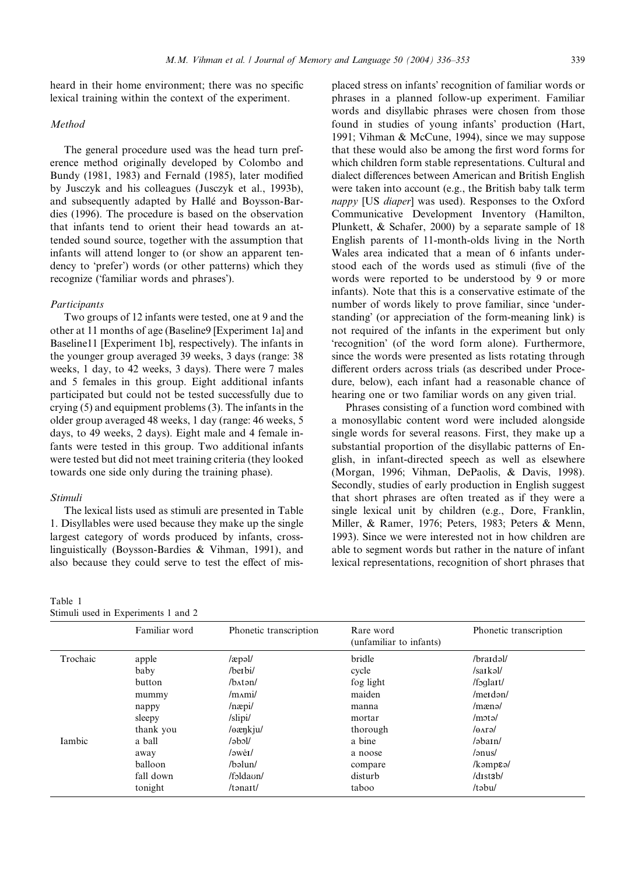## Method

The general procedure used was the head turn preference method originally developed by Colombo and Bundy (1981, 1983) and Fernald (1985), later modified by Jusczyk and his colleagues (Jusczyk et al., 1993b), and subsequently adapted by Halle and Boysson-Bardies (1996). The procedure is based on the observation that infants tend to orient their head towards an attended sound source, together with the assumption that infants will attend longer to (or show an apparent tendency to 'prefer') words (or other patterns) which they recognize ('familiar words and phrases').

#### Participants

Two groups of 12 infants were tested, one at 9 and the other at 11 months of age (Baseline9 [Experiment 1a] and Baseline11 [Experiment 1b], respectively). The infants in the younger group averaged 39 weeks, 3 days (range: 38 weeks, 1 day, to 42 weeks, 3 days). There were 7 males and 5 females in this group. Eight additional infants participated but could not be tested successfully due to crying (5) and equipment problems (3). The infants in the older group averaged 48 weeks, 1 day (range: 46 weeks, 5 days, to 49 weeks, 2 days). Eight male and 4 female infants were tested in this group. Two additional infants were tested but did not meet training criteria (they looked towards one side only during the training phase).

#### Stimuli

The lexical lists used as stimuli are presented in Table 1. Disyllables were used because they make up the single largest category of words produced by infants, crosslinguistically (Boysson-Bardies & Vihman, 1991), and also because they could serve to test the effect of mis-

#### Table 1 Stimuli used in Experiments 1 and 2

placed stress on infants' recognition of familiar words or phrases in a planned follow-up experiment. Familiar words and disyllabic phrases were chosen from those found in studies of young infants' production (Hart, 1991; Vihman & McCune, 1994), since we may suppose that these would also be among the first word forms for which children form stable representations. Cultural and dialect differences between American and British English were taken into account (e.g., the British baby talk term nappy [US diaper] was used). Responses to the Oxford Communicative Development Inventory (Hamilton, Plunkett, & Schafer, 2000) by a separate sample of 18 English parents of 11-month-olds living in the North Wales area indicated that a mean of 6 infants understood each of the words used as stimuli (five of the words were reported to be understood by 9 or more infants). Note that this is a conservative estimate of the number of words likely to prove familiar, since 'understanding' (or appreciation of the form-meaning link) is not required of the infants in the experiment but only 'recognition' (of the word form alone). Furthermore, since the words were presented as lists rotating through different orders across trials (as described under Procedure, below), each infant had a reasonable chance of hearing one or two familiar words on any given trial.

Phrases consisting of a function word combined with a monosyllabic content word were included alongside single words for several reasons. First, they make up a substantial proportion of the disyllabic patterns of English, in infant-directed speech as well as elsewhere (Morgan, 1996; Vihman, DePaolis, & Davis, 1998). Secondly, studies of early production in English suggest that short phrases are often treated as if they were a single lexical unit by children (e.g., Dore, Franklin, Miller, & Ramer, 1976; Peters, 1983; Peters & Menn, 1993). Since we were interested not in how children are able to segment words but rather in the nature of infant lexical representations, recognition of short phrases that

|          | Familiar word | Phonetic transcription      | Rare word<br>(unfamiliar to infants) | Phonetic transcription     |
|----------|---------------|-----------------------------|--------------------------------------|----------------------------|
| Trochaic | apple         | $/$ æpəl $/$                | bridle                               | /braidal/                  |
|          | baby          | /berbi/                     | cycle                                | $/sa$ <sub>I</sub> $k$ əl/ |
|          | button        | $/b$ $A$ t $\partial$ n $/$ | fog light                            | $/f$ oqlart $/$            |
|          | mummy         | /m <sub>Δ</sub> mi/         | maiden                               | $/$ merdən $/$             |
|          | nappy         | $/$ næpi $/$                | manna                                | /mænə/                     |
|          | sleepy        | /slipi/                     | mortar                               | /mota/                     |
|          | thank you     | /eænkju/                    | thorough                             | /eara/                     |
| Iambic   | a ball        | $\lambda$ bol $\lambda$     | a bine                               | $/$ əbain $/$              |
|          | away          | $/$ <sub>aweI</sub> $/$     | a noose                              | /ənus/                     |
|          | balloon       | /bəlun/                     | compare                              | $/k$ amp $\epsilon$ ə/     |
|          | fall down     | /foldaun/                   | disturb                              | $/d$ <i>stab</i> $/$       |
|          | tonight       | $/t$ ənait $/$              | taboo                                | /təbu/                     |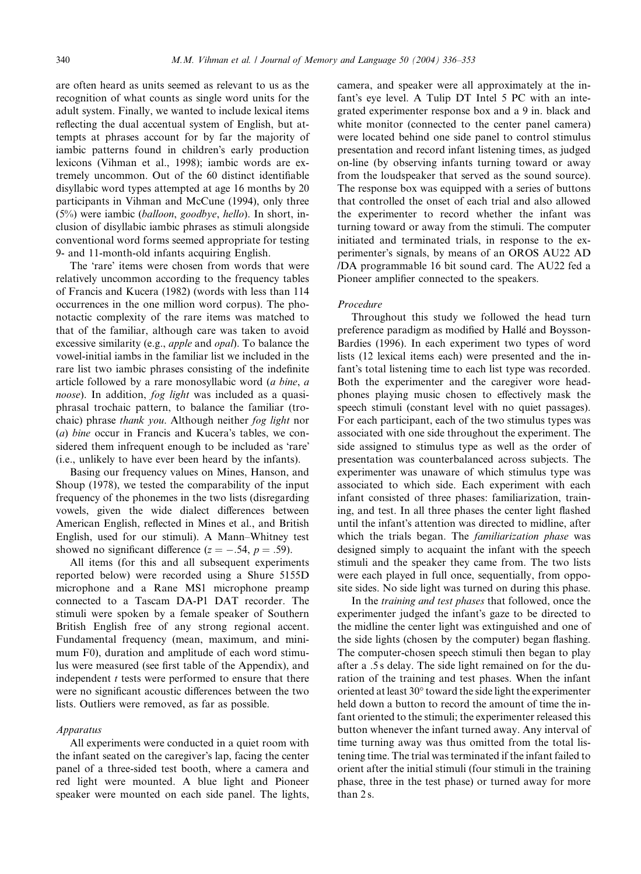are often heard as units seemed as relevant to us as the recognition of what counts as single word units for the adult system. Finally, we wanted to include lexical items reflecting the dual accentual system of English, but attempts at phrases account for by far the majority of iambic patterns found in children's early production lexicons (Vihman et al., 1998); iambic words are extremely uncommon. Out of the 60 distinct identifiable disyllabic word types attempted at age 16 months by 20 participants in Vihman and McCune (1994), only three  $(5\%)$  were iambic (balloon, goodbye, hello). In short, inclusion of disyllabic iambic phrases as stimuli alongside conventional word forms seemed appropriate for testing 9- and 11-month-old infants acquiring English.

The 'rare' items were chosen from words that were relatively uncommon according to the frequency tables of Francis and Kucera (1982) (words with less than 114 occurrences in the one million word corpus). The phonotactic complexity of the rare items was matched to that of the familiar, although care was taken to avoid excessive similarity (e.g., apple and opal). To balance the vowel-initial iambs in the familiar list we included in the rare list two iambic phrases consisting of the indefinite article followed by a rare monosyllabic word (a bine, a noose). In addition, fog light was included as a quasiphrasal trochaic pattern, to balance the familiar (trochaic) phrase thank you. Although neither fog light nor (a) bine occur in Francis and Kucera's tables, we considered them infrequent enough to be included as 'rare' (i.e., unlikely to have ever been heard by the infants).

Basing our frequency values on Mines, Hanson, and Shoup (1978), we tested the comparability of the input frequency of the phonemes in the two lists (disregarding vowels, given the wide dialect differences between American English, reflected in Mines et al., and British English, used for our stimuli). A Mann–Whitney test showed no significant difference ( $z = -.54$ ,  $p = .59$ ).

All items (for this and all subsequent experiments reported below) were recorded using a Shure 5155D microphone and a Rane MS1 microphone preamp connected to a Tascam DA-P1 DAT recorder. The stimuli were spoken by a female speaker of Southern British English free of any strong regional accent. Fundamental frequency (mean, maximum, and minimum F0), duration and amplitude of each word stimulus were measured (see first table of the Appendix), and independent  $t$  tests were performed to ensure that there were no significant acoustic differences between the two lists. Outliers were removed, as far as possible.

#### Apparatus

All experiments were conducted in a quiet room with the infant seated on the caregiver's lap, facing the center panel of a three-sided test booth, where a camera and red light were mounted. A blue light and Pioneer speaker were mounted on each side panel. The lights, camera, and speaker were all approximately at the infant's eye level. A Tulip DT Intel 5 PC with an integrated experimenter response box and a 9 in. black and white monitor (connected to the center panel camera) were located behind one side panel to control stimulus presentation and record infant listening times, as judged on-line (by observing infants turning toward or away from the loudspeaker that served as the sound source). The response box was equipped with a series of buttons that controlled the onset of each trial and also allowed the experimenter to record whether the infant was turning toward or away from the stimuli. The computer initiated and terminated trials, in response to the experimenter's signals, by means of an OROS AU22 AD /DA programmable 16 bit sound card. The AU22 fed a Pioneer amplifier connected to the speakers.

## Procedure

Throughout this study we followed the head turn preference paradigm as modified by Halle and Boysson-Bardies (1996). In each experiment two types of word lists (12 lexical items each) were presented and the infant's total listening time to each list type was recorded. Both the experimenter and the caregiver wore headphones playing music chosen to effectively mask the speech stimuli (constant level with no quiet passages). For each participant, each of the two stimulus types was associated with one side throughout the experiment. The side assigned to stimulus type as well as the order of presentation was counterbalanced across subjects. The experimenter was unaware of which stimulus type was associated to which side. Each experiment with each infant consisted of three phases: familiarization, training, and test. In all three phases the center light flashed until the infant's attention was directed to midline, after which the trials began. The familiarization phase was designed simply to acquaint the infant with the speech stimuli and the speaker they came from. The two lists were each played in full once, sequentially, from opposite sides. No side light was turned on during this phase.

In the training and test phases that followed, once the experimenter judged the infant's gaze to be directed to the midline the center light was extinguished and one of the side lights (chosen by the computer) began flashing. The computer-chosen speech stimuli then began to play after a .5 s delay. The side light remained on for the duration of the training and test phases. When the infant oriented at least 30° toward the side light the experimenter held down a button to record the amount of time the infant oriented to the stimuli; the experimenter released this button whenever the infant turned away. Any interval of time turning away was thus omitted from the total listening time. The trial was terminated if the infant failed to orient after the initial stimuli (four stimuli in the training phase, three in the test phase) or turned away for more than 2 s.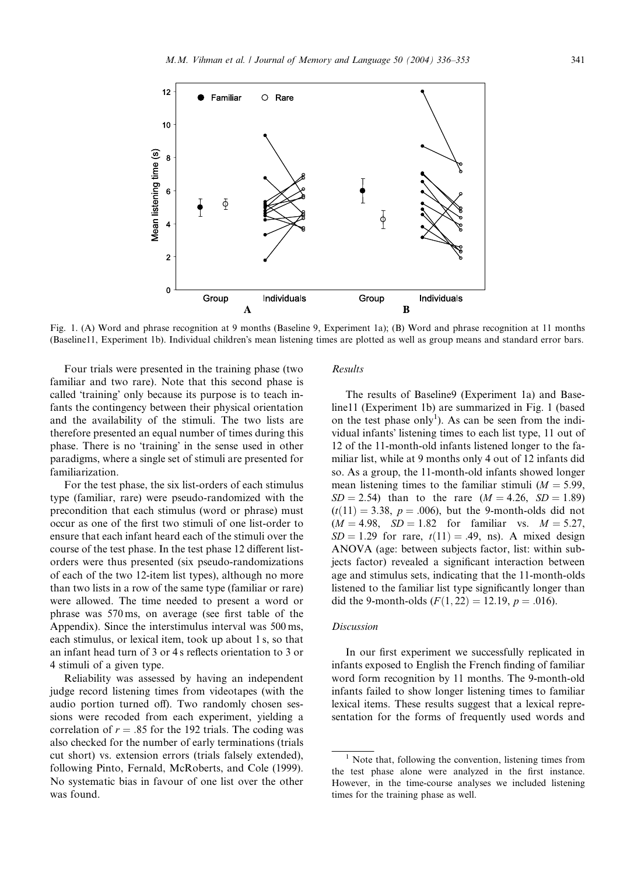

Fig. 1. (A) Word and phrase recognition at 9 months (Baseline 9, Experiment 1a); (B) Word and phrase recognition at 11 months (Baseline11, Experiment 1b). Individual children's mean listening times are plotted as well as group means and standard error bars.

Four trials were presented in the training phase (two familiar and two rare). Note that this second phase is called 'training' only because its purpose is to teach infants the contingency between their physical orientation and the availability of the stimuli. The two lists are therefore presented an equal number of times during this phase. There is no 'training' in the sense used in other paradigms, where a single set of stimuli are presented for familiarization.

For the test phase, the six list-orders of each stimulus type (familiar, rare) were pseudo-randomized with the precondition that each stimulus (word or phrase) must occur as one of the first two stimuli of one list-order to ensure that each infant heard each of the stimuli over the course of the test phase. In the test phase 12 different listorders were thus presented (six pseudo-randomizations of each of the two 12-item list types), although no more than two lists in a row of the same type (familiar or rare) were allowed. The time needed to present a word or phrase was 570 ms, on average (see first table of the Appendix). Since the interstimulus interval was 500 ms, each stimulus, or lexical item, took up about 1 s, so that an infant head turn of 3 or 4 s reflects orientation to 3 or 4 stimuli of a given type.

Reliability was assessed by having an independent judge record listening times from videotapes (with the audio portion turned off). Two randomly chosen sessions were recoded from each experiment, yielding a correlation of  $r = .85$  for the 192 trials. The coding was also checked for the number of early terminations (trials cut short) vs. extension errors (trials falsely extended), following Pinto, Fernald, McRoberts, and Cole (1999). No systematic bias in favour of one list over the other was found.

# Results

The results of Baseline9 (Experiment 1a) and Baseline11 (Experiment 1b) are summarized in Fig. 1 (based on the test phase only<sup>1</sup>). As can be seen from the individual infants' listening times to each list type, 11 out of 12 of the 11-month-old infants listened longer to the familiar list, while at 9 months only 4 out of 12 infants did so. As a group, the 11-month-old infants showed longer mean listening times to the familiar stimuli ( $M = 5.99$ ,  $SD = 2.54$ ) than to the rare  $(M = 4.26, SD = 1.89)$  $(t(11) = 3.38, p = .006)$ , but the 9-month-olds did not  $(M = 4.98, SD = 1.82$  for familiar vs.  $M = 5.27$ ,  $SD = 1.29$  for rare,  $t(11) = .49$ , ns). A mixed design ANOVA (age: between subjects factor, list: within subjects factor) revealed a significant interaction between age and stimulus sets, indicating that the 11-month-olds listened to the familiar list type significantly longer than did the 9-month-olds  $(F(1, 22) = 12.19, p = .016)$ .

#### Discussion

In our first experiment we successfully replicated in infants exposed to English the French finding of familiar word form recognition by 11 months. The 9-month-old infants failed to show longer listening times to familiar lexical items. These results suggest that a lexical representation for the forms of frequently used words and

 $1$  Note that, following the convention, listening times from the test phase alone were analyzed in the first instance. However, in the time-course analyses we included listening times for the training phase as well.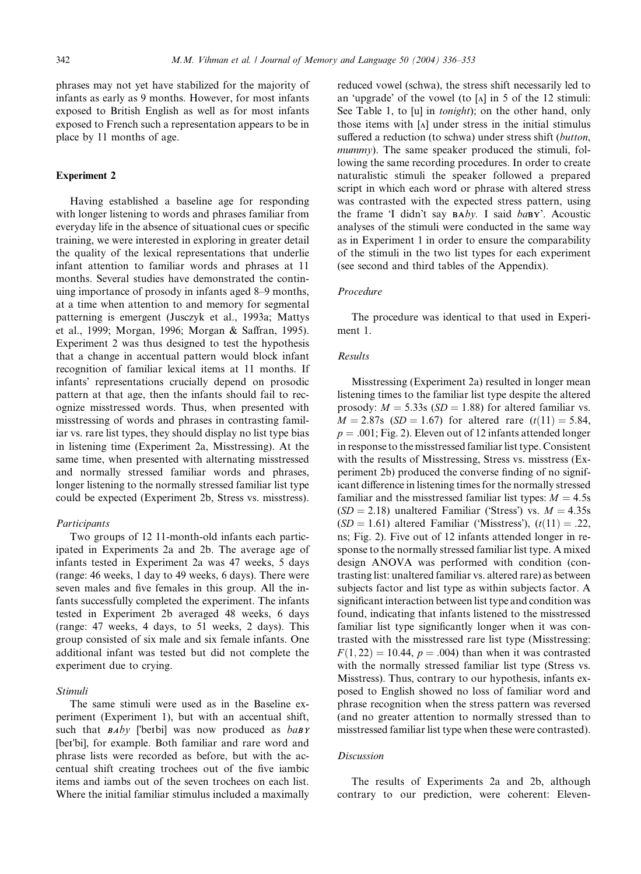phrases may not yet have stabilized for the majority of infants as early as 9 months. However, for most infants exposed to British English as well as for most infants exposed to French such a representation appears to be in place by 11 months of age.

## Experiment 2

Having established a baseline age for responding with longer listening to words and phrases familiar from everyday life in the absence of situational cues or specific training, we were interested in exploring in greater detail the quality of the lexical representations that underlie infant attention to familiar words and phrases at 11 months. Several studies have demonstrated the continuing importance of prosody in infants aged 8–9 months, at a time when attention to and memory for segmental patterning is emergent (Jusczyk et al., 1993a; Mattys et al., 1999; Morgan, 1996; Morgan & Saffran, 1995). Experiment 2 was thus designed to test the hypothesis that a change in accentual pattern would block infant recognition of familiar lexical items at 11 months. If infants' representations crucially depend on prosodic pattern at that age, then the infants should fail to recognize misstressed words. Thus, when presented with misstressing of words and phrases in contrasting familiar vs. rare list types, they should display no list type bias in listening time (Experiment 2a, Misstressing). At the same time, when presented with alternating misstressed and normally stressed familiar words and phrases, longer listening to the normally stressed familiar list type could be expected (Experiment 2b, Stress vs. misstress).

#### Participants

Two groups of 12 11-month-old infants each participated in Experiments 2a and 2b. The average age of infants tested in Experiment 2a was 47 weeks, 5 days (range: 46 weeks, 1 day to 49 weeks, 6 days). There were seven males and five females in this group. All the infants successfully completed the experiment. The infants tested in Experiment 2b averaged 48 weeks, 6 days (range: 47 weeks, 4 days, to 51 weeks, 2 days). This group consisted of six male and six female infants. One additional infant was tested but did not complete the experiment due to crying.

## Stimuli

The same stimuli were used as in the Baseline experiment (Experiment 1), but with an accentual shift, such that  $BAby$  ['beIbi] was now produced as  $baBY$ [beɪ'bi], for example. Both familiar and rare word and phrase lists were recorded as before, but with the accentual shift creating trochees out of the five iambic items and iambs out of the seven trochees on each list. Where the initial familiar stimulus included a maximally reduced vowel (schwa), the stress shift necessarily led to an 'upgrade' of the vowel (to  $[\Lambda]$  in 5 of the 12 stimuli: See Table 1, to [u] in *tonight*); on the other hand, only those items with  $\lceil \Lambda \rceil$  under stress in the initial stimulus suffered a reduction (to schwa) under stress shift (button, mummy). The same speaker produced the stimuli, following the same recording procedures. In order to create naturalistic stimuli the speaker followed a prepared script in which each word or phrase with altered stress was contrasted with the expected stress pattern, using the frame 'I didn't say  $BAby$ . I said  $ba$ BY'. Acoustic analyses of the stimuli were conducted in the same way as in Experiment 1 in order to ensure the comparability of the stimuli in the two list types for each experiment (see second and third tables of the Appendix).

#### Procedure

The procedure was identical to that used in Experiment 1.

## Results

Misstressing (Experiment 2a) resulted in longer mean listening times to the familiar list type despite the altered prosody:  $M = 5.33$ s (SD = 1.88) for altered familiar vs.  $M = 2.87s$  (SD = 1.67) for altered rare  $(t(11) = 5.84,$  $p = .001$ ; Fig. 2). Eleven out of 12 infants attended longer in response to the misstressed familiar list type. Consistent with the results of Misstressing, Stress vs. misstress (Experiment 2b) produced the converse finding of no significant difference in listening times for the normally stressed familiar and the misstressed familiar list types:  $M = 4.5s$  $(SD = 2.18)$  unaltered Familiar ('Stress') vs.  $M = 4.35s$  $(SD = 1.61)$  altered Familiar ('Misstress'),  $(t(11) = .22,$ ns; Fig. 2). Five out of 12 infants attended longer in response to the normally stressed familiar list type. A mixed design ANOVA was performed with condition (contrasting list: unaltered familiar vs. altered rare) as between subjects factor and list type as within subjects factor. A significant interaction between list type and condition was found, indicating that infants listened to the misstressed familiar list type significantly longer when it was contrasted with the misstressed rare list type (Misstressing:  $F(1, 22) = 10.44$ ,  $p = .004$ ) than when it was contrasted with the normally stressed familiar list type (Stress vs. Misstress). Thus, contrary to our hypothesis, infants exposed to English showed no loss of familiar word and phrase recognition when the stress pattern was reversed (and no greater attention to normally stressed than to misstressed familiar list type when these were contrasted).

### Discussion

The results of Experiments 2a and 2b, although contrary to our prediction, were coherent: Eleven-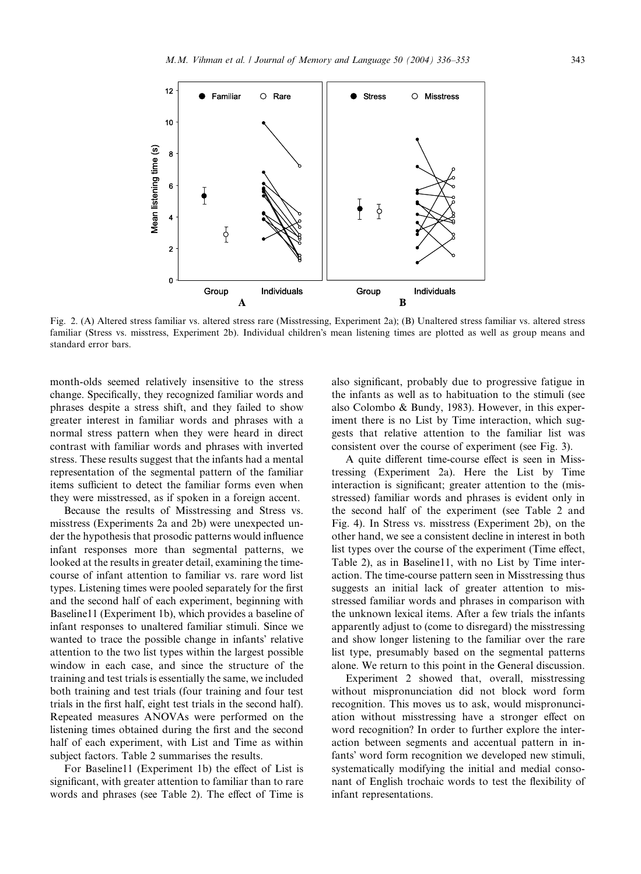

Fig. 2. (A) Altered stress familiar vs. altered stress rare (Misstressing, Experiment 2a); (B) Unaltered stress familiar vs. altered stress familiar (Stress vs. misstress, Experiment 2b). Individual children's mean listening times are plotted as well as group means and standard error bars.

month-olds seemed relatively insensitive to the stress change. Specifically, they recognized familiar words and phrases despite a stress shift, and they failed to show greater interest in familiar words and phrases with a normal stress pattern when they were heard in direct contrast with familiar words and phrases with inverted stress. These results suggest that the infants had a mental representation of the segmental pattern of the familiar items sufficient to detect the familiar forms even when they were misstressed, as if spoken in a foreign accent.

Because the results of Misstressing and Stress vs. misstress (Experiments 2a and 2b) were unexpected under the hypothesis that prosodic patterns would influence infant responses more than segmental patterns, we looked at the results in greater detail, examining the timecourse of infant attention to familiar vs. rare word list types. Listening times were pooled separately for the first and the second half of each experiment, beginning with Baseline11 (Experiment 1b), which provides a baseline of infant responses to unaltered familiar stimuli. Since we wanted to trace the possible change in infants' relative attention to the two list types within the largest possible window in each case, and since the structure of the training and test trials is essentially the same, we included both training and test trials (four training and four test trials in the first half, eight test trials in the second half). Repeated measures ANOVAs were performed on the listening times obtained during the first and the second half of each experiment, with List and Time as within subject factors. Table 2 summarises the results.

For Baseline11 (Experiment 1b) the effect of List is significant, with greater attention to familiar than to rare words and phrases (see Table 2). The effect of Time is

also significant, probably due to progressive fatigue in the infants as well as to habituation to the stimuli (see also Colombo & Bundy, 1983). However, in this experiment there is no List by Time interaction, which suggests that relative attention to the familiar list was consistent over the course of experiment (see Fig. 3).

A quite different time-course effect is seen in Misstressing (Experiment 2a). Here the List by Time interaction is significant; greater attention to the (misstressed) familiar words and phrases is evident only in the second half of the experiment (see Table 2 and Fig. 4). In Stress vs. misstress (Experiment 2b), on the other hand, we see a consistent decline in interest in both list types over the course of the experiment (Time effect, Table 2), as in Baseline11, with no List by Time interaction. The time-course pattern seen in Misstressing thus suggests an initial lack of greater attention to misstressed familiar words and phrases in comparison with the unknown lexical items. After a few trials the infants apparently adjust to (come to disregard) the misstressing and show longer listening to the familiar over the rare list type, presumably based on the segmental patterns alone. We return to this point in the General discussion.

Experiment 2 showed that, overall, misstressing without mispronunciation did not block word form recognition. This moves us to ask, would mispronunciation without misstressing have a stronger effect on word recognition? In order to further explore the interaction between segments and accentual pattern in infants' word form recognition we developed new stimuli, systematically modifying the initial and medial consonant of English trochaic words to test the flexibility of infant representations.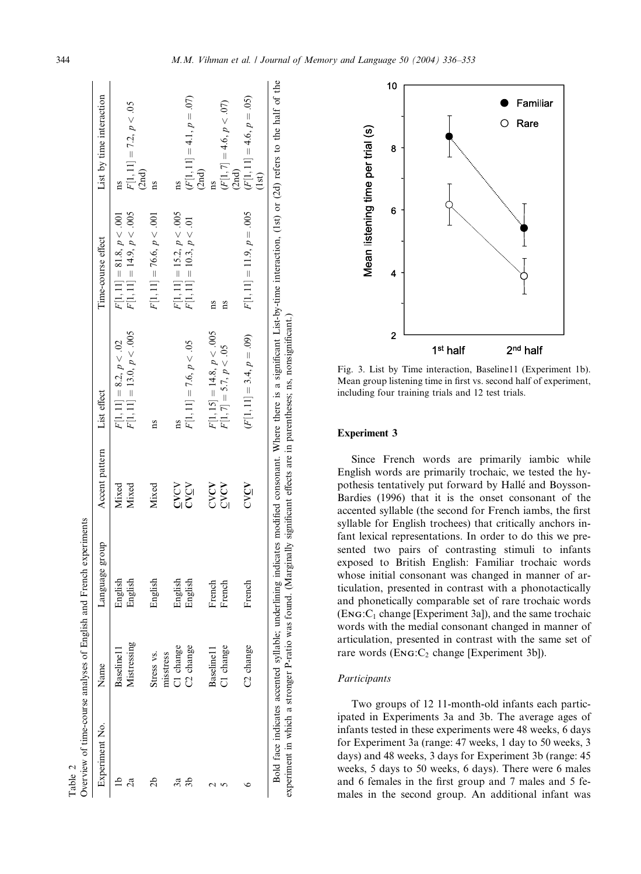| Experiment No.                                                                                                             | Name                    | Language group | Accent pattern | List effect                                                                                                                                                                     | Time-course effect          | List by time interaction                      |
|----------------------------------------------------------------------------------------------------------------------------|-------------------------|----------------|----------------|---------------------------------------------------------------------------------------------------------------------------------------------------------------------------------|-----------------------------|-----------------------------------------------|
|                                                                                                                            | Baseline <sub>11</sub>  | English        | Mixed          | $F[1, 11] = 8.2, p < .02$                                                                                                                                                       | $F[1, 11] = 81.8, p < .001$ |                                               |
|                                                                                                                            | Mistressing             | English        | Mixed          | $F[1, 11] = 13.0, p < .005$                                                                                                                                                     | $F[1, 11] = 14.9, p < .005$ | $F[1, 11] = 7.2, p < .05$                     |
| 26                                                                                                                         | Stress vs.<br>misstress | English        | Mixed          | 1S                                                                                                                                                                              | $F[1, 11] = 76.6, p < .001$ | (2nd)                                         |
| ನೆ                                                                                                                         | C1 change               | English        | $C$ V $C$ V    |                                                                                                                                                                                 | $F[1, 11] = 15.2, p < .005$ | ns                                            |
|                                                                                                                            | C <sub>2</sub> change   | English        | CVCV           | $F[1, 11] = 7.6, p < .05$                                                                                                                                                       | $F[1, 11] = 10.3, p < .01$  | $(F[1, 11] = 4.1, p = .07)$                   |
|                                                                                                                            | Baseline <sub>1</sub>   | French         | CYCV           | $F[1, 15] = 14.8, p < .005$                                                                                                                                                     | $\overline{\mathbf{n}}$     | (2nd)                                         |
|                                                                                                                            | C1 change               | French         | CVCV           | $F[1, 7] = 5.7, p < .05$                                                                                                                                                        | ns                          | $(F[1, 7] = 4.6, p < .07)$                    |
|                                                                                                                            | C <sub>2</sub> change   | French         | CVCV           | $(F[1, 11] = 3.4, p = .09)$                                                                                                                                                     | $F[1, 11] = 11.9, p = .005$ | $(F[1, 11] = 4.6, p = .05)$<br>(2nd)<br>(1st) |
| experiment in which a stronger P-ratio was found. (Marginally significant effects are in parentheses; ns, nonsignificant.) |                         |                |                | Bold face indicates accented syllable; underlining indicates modified consonant. Where there is a significant List-by-time interaction, (1st) or (2d) refers to the half of the |                             |                                               |



Fig. 3. List by Time interaction, Baseline11 (Experiment 1b). Mean group listening time in first vs. second half of experiment, including four training trials and 12 test trials.

#### Experiment 3

Since French words are primarily iambic while English words are primarily trochaic, we tested the hypothesis tentatively put forward by Halle and Boysson-Bardies (1996) that it is the onset consonant of the accented syllable (the second for French iambs, the first syllable for English trochees) that critically anchors infant lexical representations. In order to do this we presented two pairs of contrasting stimuli to infants exposed to British English: Familiar trochaic words whose initial consonant was changed in manner of articulation, presented in contrast with a phonotactically and phonetically comparable set of rare trochaic words  $(Eng:C<sub>1</sub> change [Experiment 3a])$ , and the same trochaic words with the medial consonant changed in manner of articulation, presented in contrast with the same set of rare words  $(Enc:C<sub>2</sub> change [Experiment 3b])$ .

## Participants

Two groups of 12 11-month-old infants each participated in Experiments 3a and 3b. The average ages of infants tested in these experiments were 48 weeks, 6 days for Experiment 3a (range: 47 weeks, 1 day to 50 weeks, 3 days) and 48 weeks, 3 days for Experiment 3b (range: 45 weeks, 5 days to 50 weeks, 6 days). There were 6 males and 6 females in the first group and 7 males and 5 females in the second group. An additional infant was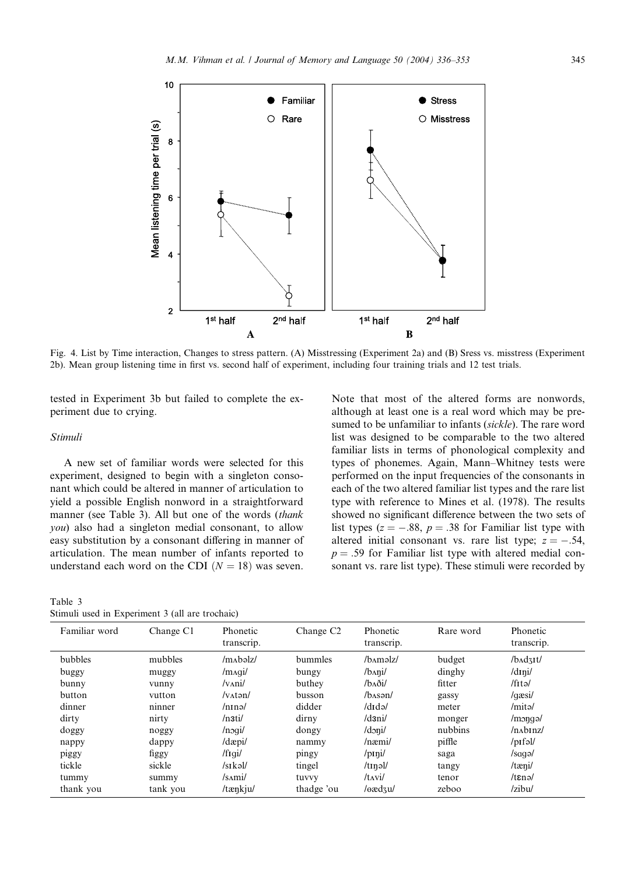

Fig. 4. List by Time interaction, Changes to stress pattern. (A) Misstressing (Experiment 2a) and (B) Sress vs. misstress (Experiment 2b). Mean group listening time in first vs. second half of experiment, including four training trials and 12 test trials.

tested in Experiment 3b but failed to complete the experiment due to crying.

## Stimuli

A new set of familiar words were selected for this experiment, designed to begin with a singleton consonant which could be altered in manner of articulation to yield a possible English nonword in a straightforward manner (see Table 3). All but one of the words (thank you) also had a singleton medial consonant, to allow easy substitution by a consonant differing in manner of articulation. The mean number of infants reported to understand each word on the CDI  $(N = 18)$  was seven.

| Table 3 |  |                                                 |  |  |  |
|---------|--|-------------------------------------------------|--|--|--|
|         |  | Stimuli used in Experiment 3 (all are trochaic) |  |  |  |

Note that most of the altered forms are nonwords, although at least one is a real word which may be presumed to be unfamiliar to infants (sickle). The rare word list was designed to be comparable to the two altered familiar lists in terms of phonological complexity and types of phonemes. Again, Mann–Whitney tests were performed on the input frequencies of the consonants in each of the two altered familiar list types and the rare list type with reference to Mines et al. (1978). The results showed no significant difference between the two sets of list types ( $z = -.88$ ,  $p = .38$  for Familiar list type with altered initial consonant vs. rare list type;  $z = -.54$ ,  $p = .59$  for Familiar list type with altered medial consonant vs. rare list type). These stimuli were recorded by

| Familiar word | Change C1 | Phonetic<br>transcrip. | Change C <sub>2</sub> | Phonetic<br>transcrip.  | Rare word | Phonetic<br>transcrip.      |
|---------------|-----------|------------------------|-----------------------|-------------------------|-----------|-----------------------------|
| bubbles       | mubbles   | $/mAb$ alz/            | bummles               | /b^məlz/                | budget    | $/b$ $\text{Ad}$ $\text{H}$ |
| buggy         | muggy     | $/$ m $\alpha$ qi $/$  | bungy                 | $/b$ Ani $/$            | dinghy    | $/d$ Ini/                   |
| bunny         | vunny     | $/v$ $\alpha$ ni/      | buthey                | /baði/                  | fitter    | $/$ fitə $/$                |
| button        | vutton    | $/v$ $\Lambda$ tən $/$ | busson                | $/b$ Asən $/$           | gassy     | $\sqrt{q}$ asi $\sqrt{q}$   |
| dinner        | ninner    | /nnnə/                 | didder                | $ddi$ d $d$             | meter     | /mita/                      |
| dirty         | nirty     | $/$ n3ti $/$           | dirny                 | /d3ni/                  | monger    | $/m$ ong $\alpha$           |
| doggy         | noggy     | /noqi/                 | dongy                 | /doni/                  | nubbins   | $/n$ Abi $nz/$              |
| nappy         | dappy     | $/d$ æpi $/$           | nammy                 | $/$ næmi $/$            | piffle    | $/$ pifəl $/$               |
| piggy         | figgy     | /figi/                 | pingy                 | $/$ pini/               | saga      | /saqq                       |
| tickle        | sickle    | /sikol/                | tingel                | $/t$ Inəl/              | tangy     | /tæni/                      |
| tummy         | summy     | /sami/                 | tuvvy                 | $/t$ <sub>A</sub> $vi/$ | tenor     | $/t$ $\epsilon$ nə $/$      |
| thank you     | tank you  | /tænkju/               | thadge 'ou            | /eædʒu/                 | zeboo     | /zibu/                      |
|               |           |                        |                       |                         |           |                             |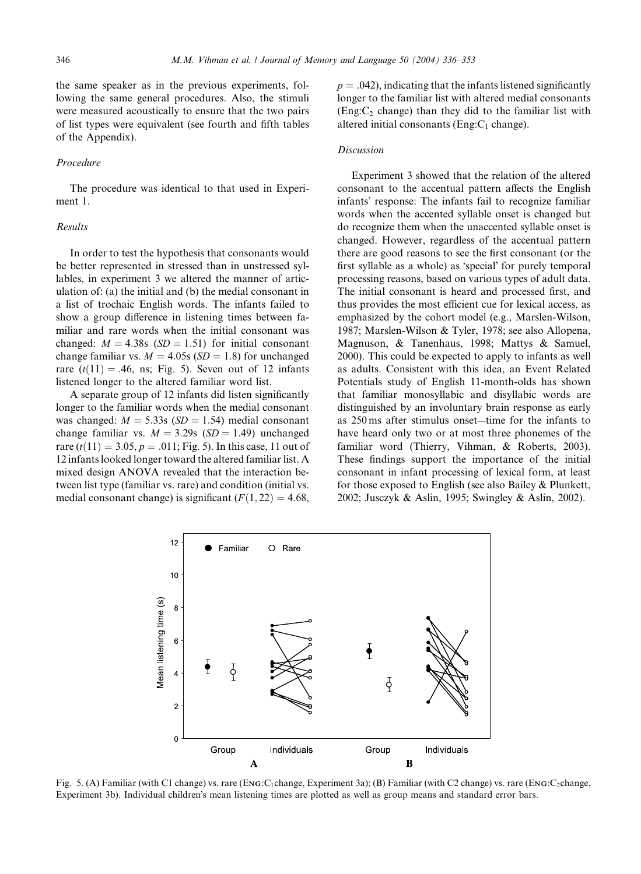the same speaker as in the previous experiments, following the same general procedures. Also, the stimuli were measured acoustically to ensure that the two pairs of list types were equivalent (see fourth and fifth tables of the Appendix).

#### Procedure

The procedure was identical to that used in Experiment 1.

#### Results

In order to test the hypothesis that consonants would be better represented in stressed than in unstressed syllables, in experiment 3 we altered the manner of articulation of: (a) the initial and (b) the medial consonant in a list of trochaic English words. The infants failed to show a group difference in listening times between familiar and rare words when the initial consonant was changed:  $M = 4.38s$  (SD = 1.51) for initial consonant change familiar vs.  $M = 4.05s$  (SD = 1.8) for unchanged rare  $(t(11) = .46$ , ns; Fig. 5). Seven out of 12 infants listened longer to the altered familiar word list.

A separate group of 12 infants did listen significantly longer to the familiar words when the medial consonant was changed:  $M = 5.33s$  (SD = 1.54) medial consonant change familiar vs.  $M = 3.29s$  (SD = 1.49) unchanged rare  $(t(11) = 3.05, p = .011;$  Fig. 5). In this case, 11 out of 12 infants looked longer toward the altered familiar list. A mixed design ANOVA revealed that the interaction between list type (familiar vs. rare) and condition (initial vs. medial consonant change) is significant  $(F(1, 22) = 4.68$ ,

 $p = .042$ , indicating that the infants listened significantly longer to the familiar list with altered medial consonants (Eng: $C_2$  change) than they did to the familiar list with altered initial consonants (Eng: $C_1$  change).

#### **Discussion**

Experiment 3 showed that the relation of the altered consonant to the accentual pattern affects the English infants response: The infants fail to recognize familiar words when the accented syllable onset is changed but do recognize them when the unaccented syllable onset is changed. However, regardless of the accentual pattern there are good reasons to see the first consonant (or the first syllable as a whole) as 'special' for purely temporal processing reasons, based on various types of adult data. The initial consonant is heard and processed first, and thus provides the most efficient cue for lexical access, as emphasized by the cohort model (e.g., Marslen-Wilson, 1987; Marslen-Wilson & Tyler, 1978; see also Allopena, Magnuson, & Tanenhaus, 1998; Mattys & Samuel, 2000). This could be expected to apply to infants as well as adults. Consistent with this idea, an Event Related Potentials study of English 11-month-olds has shown that familiar monosyllabic and disyllabic words are distinguished by an involuntary brain response as early as 250 ms after stimulus onset—time for the infants to have heard only two or at most three phonemes of the familiar word (Thierry, Vihman, & Roberts, 2003). These findings support the importance of the initial consonant in infant processing of lexical form, at least for those exposed to English (see also Bailey & Plunkett, 2002; Jusczyk & Aslin, 1995; Swingley & Aslin, 2002).



Fig. 5. (A) Familiar (with C1 change) vs. rare (ENG:C<sub>1</sub>change, Experiment 3a); (B) Familiar (with C2 change) vs. rare (ENG:C<sub>2</sub>change, Experiment 3b). Individual children's mean listening times are plotted as well as group means and standard error bars.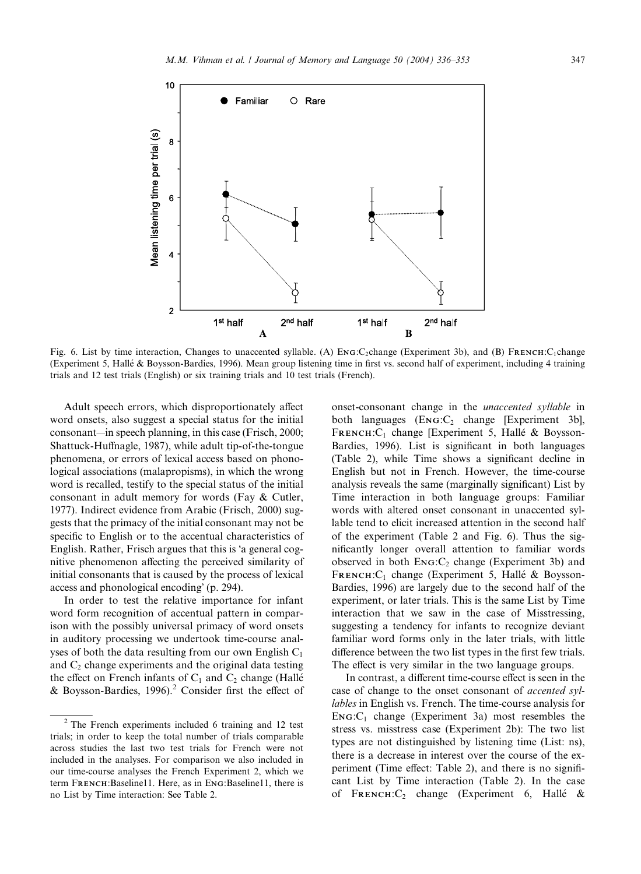

Fig. 6. List by time interaction, Changes to unaccented syllable. (A) ENG:C<sub>2</sub>change (Experiment 3b), and (B) FRENCH:C<sub>1</sub>change (Experiment 5, Halle & Boysson-Bardies, 1996). Mean group listening time in first vs. second half of experiment, including 4 training trials and 12 test trials (English) or six training trials and 10 test trials (French).

Adult speech errors, which disproportionately affect word onsets, also suggest a special status for the initial consonant—in speech planning, in this case (Frisch, 2000; Shattuck-Huffnagle, 1987), while adult tip-of-the-tongue phenomena, or errors of lexical access based on phonological associations (malapropisms), in which the wrong word is recalled, testify to the special status of the initial consonant in adult memory for words (Fay & Cutler, 1977). Indirect evidence from Arabic (Frisch, 2000) suggests that the primacy of the initial consonant may not be specific to English or to the accentual characteristics of English. Rather, Frisch argues that this is 'a general cognitive phenomenon affecting the perceived similarity of initial consonants that is caused by the process of lexical access and phonological encoding' (p. 294).

In order to test the relative importance for infant word form recognition of accentual pattern in comparison with the possibly universal primacy of word onsets in auditory processing we undertook time-course analyses of both the data resulting from our own English  $C_1$ and  $C_2$  change experiments and the original data testing the effect on French infants of  $C_1$  and  $C_2$  change (Hallé & Boysson-Bardies, 1996).<sup>2</sup> Consider first the effect of onset-consonant change in the unaccented syllable in both languages  $(Enc:C_2 \text{ change } [Experiment 3b],$ FRENCH: $C_1$  change [Experiment 5, Hallé & Boysson-Bardies, 1996). List is significant in both languages (Table 2), while Time shows a significant decline in English but not in French. However, the time-course analysis reveals the same (marginally significant) List by Time interaction in both language groups: Familiar words with altered onset consonant in unaccented syllable tend to elicit increased attention in the second half of the experiment (Table 2 and Fig. 6). Thus the significantly longer overall attention to familiar words observed in both  $\text{Enc}_{2}$  change (Experiment 3b) and FRENCH: C<sub>1</sub> change (Experiment 5, Hallé & Boysson-Bardies, 1996) are largely due to the second half of the experiment, or later trials. This is the same List by Time interaction that we saw in the case of Misstressing, suggesting a tendency for infants to recognize deviant familiar word forms only in the later trials, with little difference between the two list types in the first few trials. The effect is very similar in the two language groups.

In contrast, a different time-course effect is seen in the case of change to the onset consonant of accented syllables in English vs. French. The time-course analysis for  $ENG:C_1$  change (Experiment 3a) most resembles the stress vs. misstress case (Experiment 2b): The two list types are not distinguished by listening time (List: ns), there is a decrease in interest over the course of the experiment (Time effect: Table 2), and there is no significant List by Time interaction (Table 2). In the case of FRENCH: $C_2$  change (Experiment 6, Hallé &

<sup>2</sup> The French experiments included 6 training and 12 test trials; in order to keep the total number of trials comparable across studies the last two test trials for French were not included in the analyses. For comparison we also included in our time-course analyses the French Experiment 2, which we term FRENCH:Baseline11. Here, as in ENG:Baseline11, there is no List by Time interaction: See Table 2.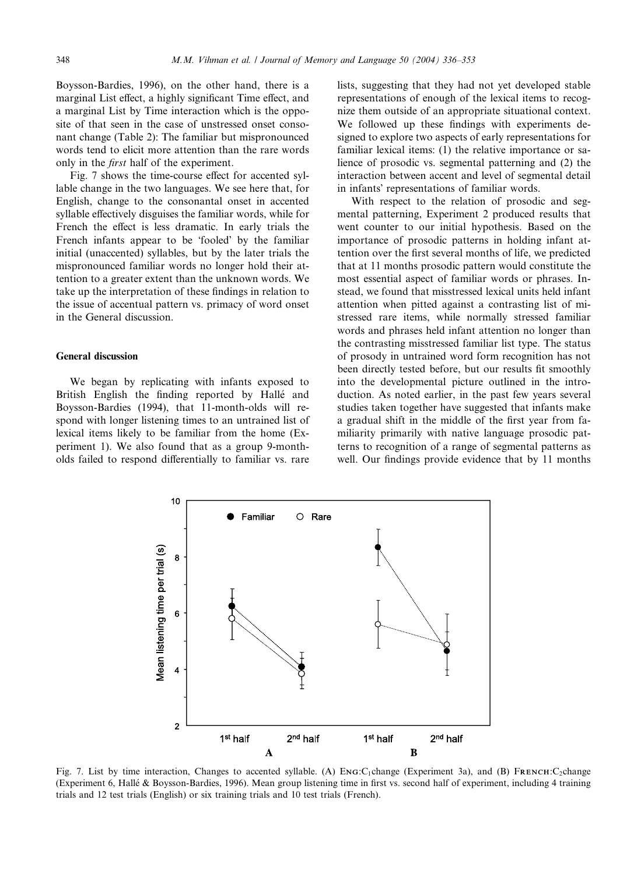Boysson-Bardies, 1996), on the other hand, there is a marginal List effect, a highly significant Time effect, and a marginal List by Time interaction which is the opposite of that seen in the case of unstressed onset consonant change (Table 2): The familiar but mispronounced words tend to elicit more attention than the rare words only in the first half of the experiment.

Fig. 7 shows the time-course effect for accented syllable change in the two languages. We see here that, for English, change to the consonantal onset in accented syllable effectively disguises the familiar words, while for French the effect is less dramatic. In early trials the French infants appear to be 'fooled' by the familiar initial (unaccented) syllables, but by the later trials the mispronounced familiar words no longer hold their attention to a greater extent than the unknown words. We take up the interpretation of these findings in relation to the issue of accentual pattern vs. primacy of word onset in the General discussion.

## General discussion

We began by replicating with infants exposed to British English the finding reported by Hallé and Boysson-Bardies (1994), that 11-month-olds will respond with longer listening times to an untrained list of lexical items likely to be familiar from the home (Experiment 1). We also found that as a group 9-montholds failed to respond differentially to familiar vs. rare lists, suggesting that they had not yet developed stable representations of enough of the lexical items to recognize them outside of an appropriate situational context. We followed up these findings with experiments designed to explore two aspects of early representations for familiar lexical items: (1) the relative importance or salience of prosodic vs. segmental patterning and (2) the interaction between accent and level of segmental detail in infants' representations of familiar words.

With respect to the relation of prosodic and segmental patterning, Experiment 2 produced results that went counter to our initial hypothesis. Based on the importance of prosodic patterns in holding infant attention over the first several months of life, we predicted that at 11 months prosodic pattern would constitute the most essential aspect of familiar words or phrases. Instead, we found that misstressed lexical units held infant attention when pitted against a contrasting list of mistressed rare items, while normally stressed familiar words and phrases held infant attention no longer than the contrasting misstressed familiar list type. The status of prosody in untrained word form recognition has not been directly tested before, but our results fit smoothly into the developmental picture outlined in the introduction. As noted earlier, in the past few years several studies taken together have suggested that infants make a gradual shift in the middle of the first year from familiarity primarily with native language prosodic patterns to recognition of a range of segmental patterns as well. Our findings provide evidence that by 11 months



Fig. 7. List by time interaction, Changes to accented syllable. (A) ENG:C<sub>1</sub>change (Experiment 3a), and (B) FRENCH:C<sub>2</sub>change (Experiment 6, Halle & Boysson-Bardies, 1996). Mean group listening time in first vs. second half of experiment, including 4 training trials and 12 test trials (English) or six training trials and 10 test trials (French).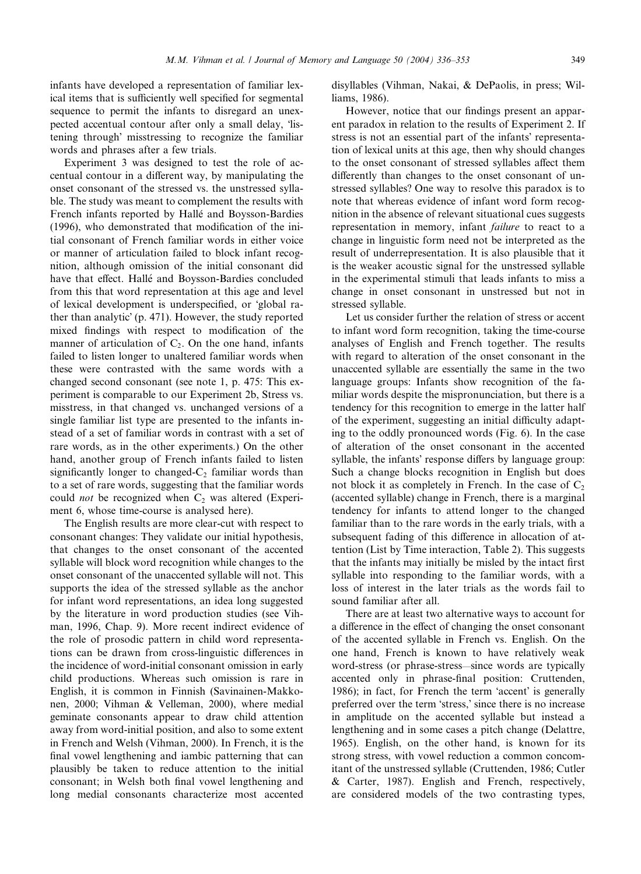infants have developed a representation of familiar lexical items that is sufficiently well specified for segmental sequence to permit the infants to disregard an unexpected accentual contour after only a small delay, 'listening through' misstressing to recognize the familiar words and phrases after a few trials.

Experiment 3 was designed to test the role of accentual contour in a different way, by manipulating the onset consonant of the stressed vs. the unstressed syllable. The study was meant to complement the results with French infants reported by Halle and Boysson-Bardies (1996), who demonstrated that modification of the initial consonant of French familiar words in either voice or manner of articulation failed to block infant recognition, although omission of the initial consonant did have that effect. Hallé and Boysson-Bardies concluded from this that word representation at this age and level of lexical development is underspecified, or 'global rather than analytic' (p. 471). However, the study reported mixed findings with respect to modification of the manner of articulation of  $C_2$ . On the one hand, infants failed to listen longer to unaltered familiar words when these were contrasted with the same words with a changed second consonant (see note 1, p. 475: This experiment is comparable to our Experiment 2b, Stress vs. misstress, in that changed vs. unchanged versions of a single familiar list type are presented to the infants instead of a set of familiar words in contrast with a set of rare words, as in the other experiments.) On the other hand, another group of French infants failed to listen significantly longer to changed- $C_2$  familiar words than to a set of rare words, suggesting that the familiar words could *not* be recognized when  $C_2$  was altered (Experiment 6, whose time-course is analysed here).

The English results are more clear-cut with respect to consonant changes: They validate our initial hypothesis, that changes to the onset consonant of the accented syllable will block word recognition while changes to the onset consonant of the unaccented syllable will not. This supports the idea of the stressed syllable as the anchor for infant word representations, an idea long suggested by the literature in word production studies (see Vihman, 1996, Chap. 9). More recent indirect evidence of the role of prosodic pattern in child word representations can be drawn from cross-linguistic differences in the incidence of word-initial consonant omission in early child productions. Whereas such omission is rare in English, it is common in Finnish (Savinainen-Makkonen, 2000; Vihman & Velleman, 2000), where medial geminate consonants appear to draw child attention away from word-initial position, and also to some extent in French and Welsh (Vihman, 2000). In French, it is the final vowel lengthening and iambic patterning that can plausibly be taken to reduce attention to the initial consonant; in Welsh both final vowel lengthening and long medial consonants characterize most accented

disyllables (Vihman, Nakai, & DePaolis, in press; Williams, 1986).

However, notice that our findings present an apparent paradox in relation to the results of Experiment 2. If stress is not an essential part of the infants' representation of lexical units at this age, then why should changes to the onset consonant of stressed syllables affect them differently than changes to the onset consonant of unstressed syllables? One way to resolve this paradox is to note that whereas evidence of infant word form recognition in the absence of relevant situational cues suggests representation in memory, infant failure to react to a change in linguistic form need not be interpreted as the result of underrepresentation. It is also plausible that it is the weaker acoustic signal for the unstressed syllable in the experimental stimuli that leads infants to miss a change in onset consonant in unstressed but not in stressed syllable.

Let us consider further the relation of stress or accent to infant word form recognition, taking the time-course analyses of English and French together. The results with regard to alteration of the onset consonant in the unaccented syllable are essentially the same in the two language groups: Infants show recognition of the familiar words despite the mispronunciation, but there is a tendency for this recognition to emerge in the latter half of the experiment, suggesting an initial difficulty adapting to the oddly pronounced words (Fig. 6). In the case of alteration of the onset consonant in the accented syllable, the infants' response differs by language group: Such a change blocks recognition in English but does not block it as completely in French. In the case of  $C_2$ (accented syllable) change in French, there is a marginal tendency for infants to attend longer to the changed familiar than to the rare words in the early trials, with a subsequent fading of this difference in allocation of attention (List by Time interaction, Table 2). This suggests that the infants may initially be misled by the intact first syllable into responding to the familiar words, with a loss of interest in the later trials as the words fail to sound familiar after all.

There are at least two alternative ways to account for a difference in the effect of changing the onset consonant of the accented syllable in French vs. English. On the one hand, French is known to have relatively weak word-stress (or phrase-stress—since words are typically accented only in phrase-final position: Cruttenden, 1986); in fact, for French the term 'accent' is generally preferred over the term 'stress,' since there is no increase in amplitude on the accented syllable but instead a lengthening and in some cases a pitch change (Delattre, 1965). English, on the other hand, is known for its strong stress, with vowel reduction a common concomitant of the unstressed syllable (Cruttenden, 1986; Cutler & Carter, 1987). English and French, respectively, are considered models of the two contrasting types,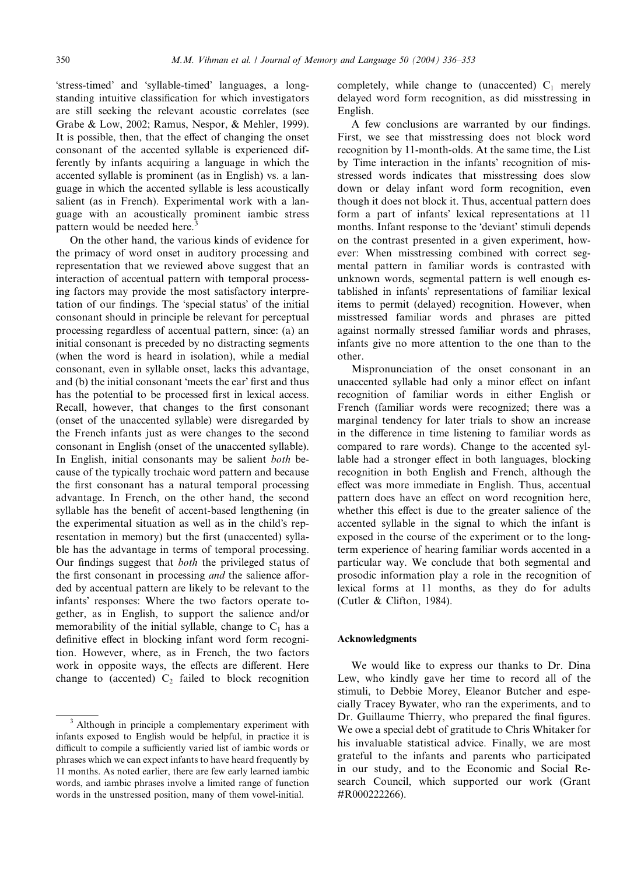'stress-timed' and 'syllable-timed' languages, a longstanding intuitive classification for which investigators are still seeking the relevant acoustic correlates (see Grabe & Low, 2002; Ramus, Nespor, & Mehler, 1999). It is possible, then, that the effect of changing the onset consonant of the accented syllable is experienced differently by infants acquiring a language in which the accented syllable is prominent (as in English) vs. a language in which the accented syllable is less acoustically salient (as in French). Experimental work with a language with an acoustically prominent iambic stress pattern would be needed here.

On the other hand, the various kinds of evidence for the primacy of word onset in auditory processing and representation that we reviewed above suggest that an interaction of accentual pattern with temporal processing factors may provide the most satisfactory interpretation of our findings. The 'special status' of the initial consonant should in principle be relevant for perceptual processing regardless of accentual pattern, since: (a) an initial consonant is preceded by no distracting segments (when the word is heard in isolation), while a medial consonant, even in syllable onset, lacks this advantage, and (b) the initial consonant 'meets the ear' first and thus has the potential to be processed first in lexical access. Recall, however, that changes to the first consonant (onset of the unaccented syllable) were disregarded by the French infants just as were changes to the second consonant in English (onset of the unaccented syllable). In English, initial consonants may be salient both because of the typically trochaic word pattern and because the first consonant has a natural temporal processing advantage. In French, on the other hand, the second syllable has the benefit of accent-based lengthening (in the experimental situation as well as in the child's representation in memory) but the first (unaccented) syllable has the advantage in terms of temporal processing. Our findings suggest that both the privileged status of the first consonant in processing and the salience afforded by accentual pattern are likely to be relevant to the infants' responses: Where the two factors operate together, as in English, to support the salience and/or memorability of the initial syllable, change to  $C_1$  has a definitive effect in blocking infant word form recognition. However, where, as in French, the two factors work in opposite ways, the effects are different. Here change to (accented)  $C_2$  failed to block recognition completely, while change to (unaccented)  $C_1$  merely delayed word form recognition, as did misstressing in English.

A few conclusions are warranted by our findings. First, we see that misstressing does not block word recognition by 11-month-olds. At the same time, the List by Time interaction in the infants' recognition of misstressed words indicates that misstressing does slow down or delay infant word form recognition, even though it does not block it. Thus, accentual pattern does form a part of infants' lexical representations at 11 months. Infant response to the 'deviant' stimuli depends on the contrast presented in a given experiment, however: When misstressing combined with correct segmental pattern in familiar words is contrasted with unknown words, segmental pattern is well enough established in infants' representations of familiar lexical items to permit (delayed) recognition. However, when misstressed familiar words and phrases are pitted against normally stressed familiar words and phrases, infants give no more attention to the one than to the other.

Mispronunciation of the onset consonant in an unaccented syllable had only a minor effect on infant recognition of familiar words in either English or French (familiar words were recognized; there was a marginal tendency for later trials to show an increase in the difference in time listening to familiar words as compared to rare words). Change to the accented syllable had a stronger effect in both languages, blocking recognition in both English and French, although the effect was more immediate in English. Thus, accentual pattern does have an effect on word recognition here, whether this effect is due to the greater salience of the accented syllable in the signal to which the infant is exposed in the course of the experiment or to the longterm experience of hearing familiar words accented in a particular way. We conclude that both segmental and prosodic information play a role in the recognition of lexical forms at 11 months, as they do for adults (Cutler & Clifton, 1984).

#### Acknowledgments

We would like to express our thanks to Dr. Dina Lew, who kindly gave her time to record all of the stimuli, to Debbie Morey, Eleanor Butcher and especially Tracey Bywater, who ran the experiments, and to Dr. Guillaume Thierry, who prepared the final figures. We owe a special debt of gratitude to Chris Whitaker for his invaluable statistical advice. Finally, we are most grateful to the infants and parents who participated in our study, and to the Economic and Social Research Council, which supported our work (Grant #R000222266).

<sup>&</sup>lt;sup>3</sup> Although in principle a complementary experiment with infants exposed to English would be helpful, in practice it is difficult to compile a sufficiently varied list of iambic words or phrases which we can expect infants to have heard frequently by 11 months. As noted earlier, there are few early learned iambic words, and iambic phrases involve a limited range of function words in the unstressed position, many of them vowel-initial.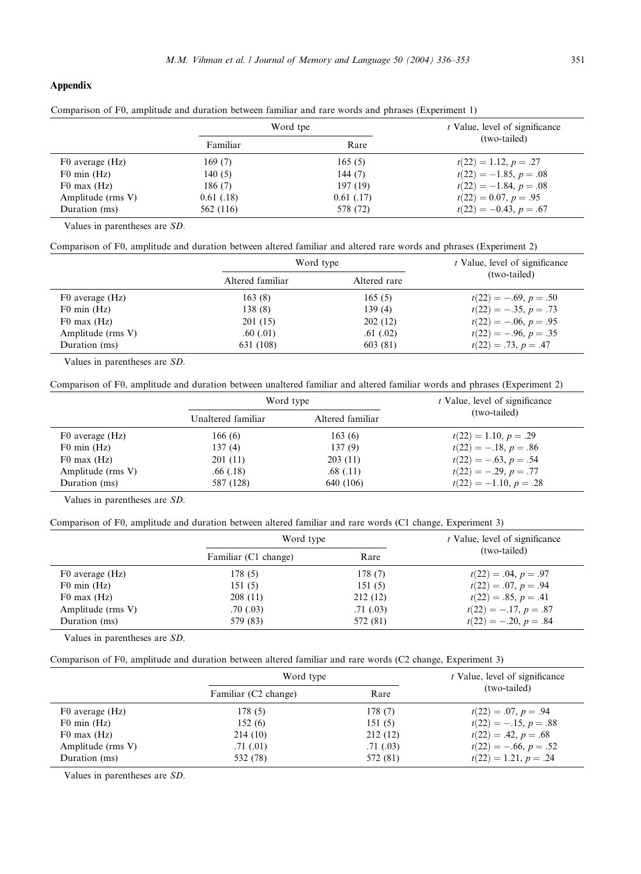# Appendix

| Comparison of F0, amplitude and duration between familiar and rare words and phrases (Experiment 1) |  |  |  |  |  |  |
|-----------------------------------------------------------------------------------------------------|--|--|--|--|--|--|
|-----------------------------------------------------------------------------------------------------|--|--|--|--|--|--|

|                   |            | Word tpe   | t Value, level of significance |
|-------------------|------------|------------|--------------------------------|
|                   | Familiar   | Rare       | (two-tailed)                   |
| F0 average (Hz)   | 169(7)     | 165(5)     | $t(22) = 1.12, p = .27$        |
| $F0$ min $(Hz)$   | 140(5)     | 144 $(7)$  | $t(22) = -1.85, p = .08$       |
| $F0$ max $(Hz)$   | 186(7)     | 197 (19)   | $t(22) = -1.84, p = .08$       |
| Amplitude (rms V) | 0.61(0.18) | 0.61(0.17) | $t(22) = 0.07, p = .95$        |
| Duration (ms)     | 562 (116)  | 578 (72)   | $t(22) = -0.43, p = .67$       |

Values in parentheses are SD.

Comparison of F0, amplitude and duration between altered familiar and altered rare words and phrases (Experiment 2)

|                   | Word type        |              | <i>t</i> Value, level of significance |
|-------------------|------------------|--------------|---------------------------------------|
|                   | Altered familiar | Altered rare | (two-tailed)                          |
| F0 average (Hz)   | 163(8)           | 165(5)       | $t(22) = -.69, p = .50$               |
| $F0$ min $(Hz)$   | 138(8)           | 139(4)       | $t(22) = -.35, p = .73$               |
| $F0$ max $(Hz)$   | 201(15)          | 202(12)      | $t(22) = -0.06, p = 0.95$             |
| Amplitude (rms V) | .60(0.01)        | .61(02)      | $t(22) = -.96, p = .35$               |
| Duration (ms)     | 631 (108)        | 603 (81)     | $t(22) = .73, p = .47$                |

Values in parentheses are SD.

l,

Comparison of F0, amplitude and duration between unaltered familiar and altered familiar words and phrases (Experiment 2)

|                   | Word type          |                  | <i>t</i> Value, level of significance |
|-------------------|--------------------|------------------|---------------------------------------|
|                   | Unaltered familiar | Altered familiar | (two-tailed)                          |
| F0 average (Hz)   | 166(6)             | 163(6)           | $t(22) = 1.10, p = .29$               |
| $F0$ min $(Hz)$   | 137(4)             | 137(9)           | $t(22) = -.18, p = .86$               |
| $F0$ max $(Hz)$   | 201(11)            | 203(11)          | $t(22) = -.63, p = .54$               |
| Amplitude (rms V) | .66(.18)           | .68(.11)         | $t(22) = -.29, p = .77$               |
| Duration (ms)     | 587 (128)          | 640 (106)        | $t(22) = -1.10, p = .28$              |

Values in parentheses are SD.

Comparison of F0, amplitude and duration between altered familiar and rare words (C1 change, Experiment 3)

|                   | Word type            |           | <i>t</i> Value, level of significance |
|-------------------|----------------------|-----------|---------------------------------------|
|                   | Familiar (C1 change) | Rare      | (two-tailed)                          |
| F0 average (Hz)   | 178(5)               | 178(7)    | $t(22) = .04, p = .97$                |
| $F0$ min $(Hz)$   | 151(5)               | 151(5)    | $t(22) = .07, p = .94$                |
| $F0$ max $(Hz)$   | 208(11)              | 212(12)   | $t(22) = .85, p = .41$                |
| Amplitude (rms V) | .70(0.03)            | .71(0.03) | $t(22) = -.17, p = .87$               |
| Duration (ms)     | 579 (83)             | 572 (81)  | $t(22) = -.20, p = .84$               |

Values in parentheses are SD.

|  | Comparison of F0, amplitude and duration between altered familiar and rare words (C2 change, Experiment 3) |  |  |  |  |  |  |
|--|------------------------------------------------------------------------------------------------------------|--|--|--|--|--|--|
|  |                                                                                                            |  |  |  |  |  |  |

|                   | Word type            |           | t Value, level of significance |
|-------------------|----------------------|-----------|--------------------------------|
|                   | Familiar (C2 change) | Rare      | (two-tailed)                   |
| F0 average (Hz)   | 178(5)               | 178(7)    | $t(22) = .07, p = .94$         |
| $F0$ min $(Hz)$   | 152(6)               | 151(5)    | $t(22) = -.15, p = .88$        |
| $F0$ max $(Hz)$   | 214(10)              | 212(12)   | $t(22) = .42, p = .68$         |
| Amplitude (rms V) | .71(0.01)            | .71(0.03) | $t(22) = -.66, p = .52$        |
| Duration (ms)     | 532 (78)             | 572 (81)  | $t(22) = 1.21, p = .24$        |

Values in parentheses are SD.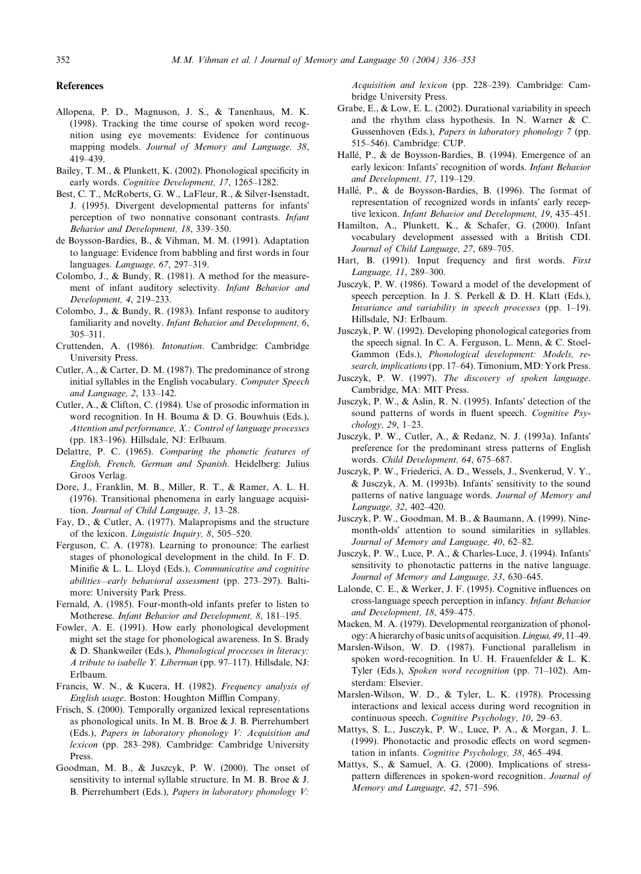#### References

- Allopena, P. D., Magnuson, J. S., & Tanenhaus, M. K. (1998). Tracking the time course of spoken word recognition using eye movements: Evidence for continuous mapping models. Journal of Memory and Language, 38, 419–439.
- Bailey, T. M., & Plunkett, K. (2002). Phonological specificity in early words. Cognitive Development, 17, 1265–1282.
- Best, C. T., McRoberts, G. W., LaFleur, R., & Silver-Isenstadt, J. (1995). Divergent developmental patterns for infants perception of two nonnative consonant contrasts. Infant Behavior and Development, 18, 339–350.
- de Boysson-Bardies, B., & Vihman, M. M. (1991). Adaptation to language: Evidence from babbling and first words in four languages. Language, 67, 297–319.
- Colombo, J., & Bundy, R. (1981). A method for the measurement of infant auditory selectivity. Infant Behavior and Development, 4, 219–233.
- Colombo, J., & Bundy, R. (1983). Infant response to auditory familiarity and novelty. Infant Behavior and Development, 6, 305–311.
- Cruttenden, A. (1986). Intonation. Cambridge: Cambridge University Press.
- Cutler, A., & Carter, D. M. (1987). The predominance of strong initial syllables in the English vocabulary. Computer Speech and Language, 2, 133–142.
- Cutler, A., & Clifton, C. (1984). Use of prosodic information in word recognition. In H. Bouma & D. G. Bouwhuis (Eds.), Attention and performance, X.: Control of language processes (pp. 183–196). Hillsdale, NJ: Erlbaum.
- Delattre, P. C. (1965). Comparing the phonetic features of English, French, German and Spanish. Heidelberg: Julius Groos Verlag.
- Dore, J., Franklin, M. B., Miller, R. T., & Ramer, A. L. H. (1976). Transitional phenomena in early language acquisition. Journal of Child Language, 3, 13–28.
- Fay, D., & Cutler, A. (1977). Malapropisms and the structure of the lexicon. Linguistic Inquiry, 8, 505–520.
- Ferguson, C. A. (1978). Learning to pronounce: The earliest stages of phonological development in the child. In F. D. Minifie & L. L. Lloyd (Eds.), Communicative and cognitive abilities—early behavioral assessment (pp. 273–297). Baltimore: University Park Press.
- Fernald, A. (1985). Four-month-old infants prefer to listen to Motherese. Infant Behavior and Development, 8, 181–195.
- Fowler, A. E. (1991). How early phonological development might set the stage for phonological awareness. In S. Brady & D. Shankweiler (Eds.), Phonological processes in literacy: A tribute to isabelle Y. Liberman (pp. 97–117). Hillsdale, NJ: Erlbaum.
- Francis, W. N., & Kucera, H. (1982). Frequency analysis of English usage. Boston: Houghton Mifflin Company.
- Frisch, S. (2000). Temporally organized lexical representations as phonological units. In M. B. Broe & J. B. Pierrehumbert (Eds.), Papers in laboratory phonology V: Acquisition and lexicon (pp. 283–298). Cambridge: Cambridge University Press.
- Goodman, M. B., & Juszcyk, P. W. (2000). The onset of sensitivity to internal syllable structure. In M. B. Broe & J. B. Pierrehumbert (Eds.), Papers in laboratory phonology V:

Acquisition and lexicon (pp. 228–239). Cambridge: Cambridge University Press.

- Grabe, E., & Low, E. L. (2002). Durational variability in speech and the rhythm class hypothesis. In N. Warner & C. Gussenhoven (Eds.), Papers in laboratory phonology 7 (pp. 515–546). Cambridge: CUP.
- Halle, P., & de Boysson-Bardies, B. (1994). Emergence of an early lexicon: Infants' recognition of words. Infant Behavior and Development, 17, 119–129.
- Halle, P., & de Boysson-Bardies, B. (1996). The format of representation of recognized words in infants' early receptive lexicon. Infant Behavior and Development, 19, 435–451.
- Hamilton, A., Plunkett, K., & Schafer, G. (2000). Infant vocabulary development assessed with a British CDI. Journal of Child Language, 27, 689–705.
- Hart, B. (1991). Input frequency and first words. First Language, 11, 289–300.
- Jusczyk, P. W. (1986). Toward a model of the development of speech perception. In J. S. Perkell & D. H. Klatt (Eds.), Invariance and variability in speech processes (pp. 1–19). Hillsdale, NJ: Erlbaum.
- Jusczyk, P. W. (1992). Developing phonological categories from the speech signal. In C. A. Ferguson, L. Menn, & C. Stoel-Gammon (Eds.), Phonological development: Models, research, implications(pp. 17–64). Timonium, MD: York Press.
- Jusczyk, P. W. (1997). The discovery of spoken language. Cambridge, MA: MIT Press.
- Jusczyk, P. W., & Aslin, R. N. (1995). Infants' detection of the sound patterns of words in fluent speech. Cognitive Psychology, 29, 1–23.
- Jusczyk, P. W., Cutler, A., & Redanz, N. J. (1993a). Infants preference for the predominant stress patterns of English words. Child Development, 64, 675–687.
- Jusczyk, P. W., Friederici, A. D., Wessels, J., Svenkerud, V. Y., & Jusczyk, A. M. (1993b). Infants sensitivity to the sound patterns of native language words. Journal of Memory and Language, 32, 402–420.
- Jusczyk, P. W., Goodman, M. B., & Baumann, A. (1999). Ninemonth-olds' attention to sound similarities in syllables. Journal of Memory and Language, 40, 62–82.
- Jusczyk, P. W., Luce, P. A., & Charles-Luce, J. (1994). Infants sensitivity to phonotactic patterns in the native language. Journal of Memory and Language, 33, 630–645.
- Lalonde, C. E., & Werker, J. F. (1995). Cognitive influences on cross-language speech perception in infancy. Infant Behavior and Development, 18, 459–475.
- Macken, M. A. (1979). Developmental reorganization of phonology: A hierarchy of basic units of acquisition.Lingua, 49, 11–49.
- Marslen-Wilson, W. D. (1987). Functional parallelism in spoken word-recognition. In U. H. Frauenfelder & L. K. Tyler (Eds.), Spoken word recognition (pp. 71–102). Amsterdam: Elsevier.
- Marslen-Wilson, W. D., & Tyler, L. K. (1978). Processing interactions and lexical access during word recognition in continuous speech. Cognitive Psychology, 10, 29–63.
- Mattys, S. L., Jusczyk, P. W., Luce, P. A., & Morgan, J. L. (1999). Phonotactic and prosodic effects on word segmentation in infants. Cognitive Psychology, 38, 465–494.
- Mattys, S., & Samuel, A. G. (2000). Implications of stresspattern differences in spoken-word recognition. Journal of Memory and Language, 42, 571–596.